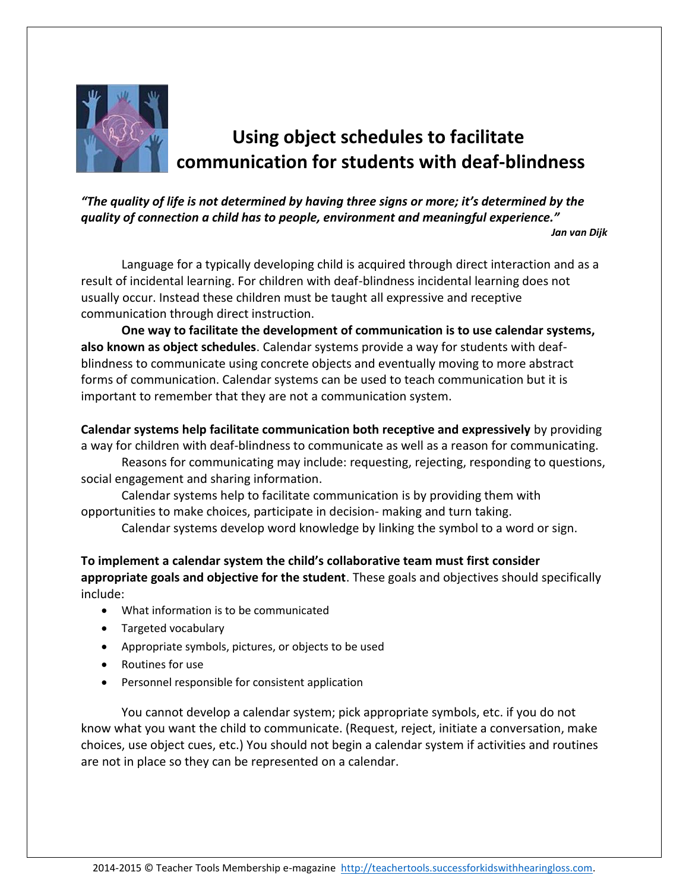

## **Using object schedules to facilitate communication for students with deaf-blindness**

*"The quality of life is not determined by having three signs or more; it's determined by the quality of connection a child has to people, environment and meaningful experience." Jan van Dijk*

Language for a typically developing child is acquired through direct interaction and as a result of incidental learning. For children with deaf-blindness incidental learning does not usually occur. Instead these children must be taught all expressive and receptive communication through direct instruction.

**One way to facilitate the development of communication is to use calendar systems, also known as object schedules**. Calendar systems provide a way for students with deafblindness to communicate using concrete objects and eventually moving to more abstract forms of communication. Calendar systems can be used to teach communication but it is important to remember that they are not a communication system.

**Calendar systems help facilitate communication both receptive and expressively** by providing a way for children with deaf-blindness to communicate as well as a reason for communicating.

Reasons for communicating may include: requesting, rejecting, responding to questions, social engagement and sharing information.

Calendar systems help to facilitate communication is by providing them with opportunities to make choices, participate in decision- making and turn taking.

Calendar systems develop word knowledge by linking the symbol to a word or sign.

**To implement a calendar system the child's collaborative team must first consider appropriate goals and objective for the student**. These goals and objectives should specifically include:

- What information is to be communicated
- Targeted vocabulary
- Appropriate symbols, pictures, or objects to be used
- Routines for use
- Personnel responsible for consistent application

You cannot develop a calendar system; pick appropriate symbols, etc. if you do not know what you want the child to communicate. (Request, reject, initiate a conversation, make choices, use object cues, etc.) You should not begin a calendar system if activities and routines are not in place so they can be represented on a calendar.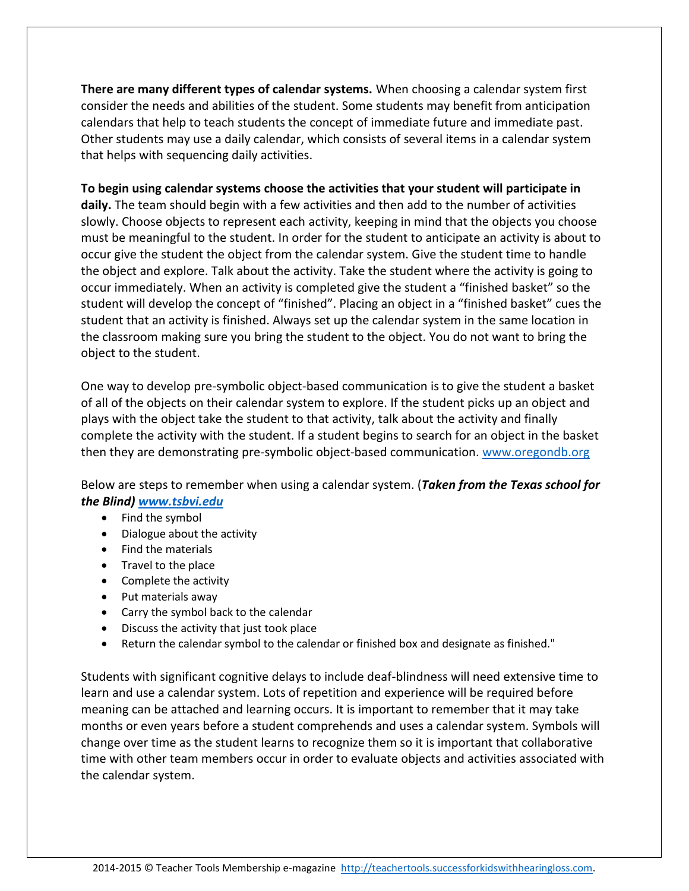**There are many different types of calendar systems.** When choosing a calendar system first consider the needs and abilities of the student. Some students may benefit from anticipation calendars that help to teach students the concept of immediate future and immediate past. Other students may use a daily calendar, which consists of several items in a calendar system that helps with sequencing daily activities.

## **To begin using calendar systems choose the activities that your student will participate in daily.** The team should begin with a few activities and then add to the number of activities slowly. Choose objects to represent each activity, keeping in mind that the objects you choose must be meaningful to the student. In order for the student to anticipate an activity is about to occur give the student the object from the calendar system. Give the student time to handle the object and explore. Talk about the activity. Take the student where the activity is going to occur immediately. When an activity is completed give the student a "finished basket" so the student will develop the concept of "finished". Placing an object in a "finished basket" cues the student that an activity is finished. Always set up the calendar system in the same location in the classroom making sure you bring the student to the object. You do not want to bring the object to the student.

One way to develop pre-symbolic object-based communication is to give the student a basket of all of the objects on their calendar system to explore. If the student picks up an object and plays with the object take the student to that activity, talk about the activity and finally complete the activity with the student. If a student begins to search for an object in the basket then they are demonstrating pre-symbolic object-based communication[. www.oregondb.org](http://www.oregondb.org/)

Below are steps to remember when using a calendar system. (*Taken from the Texas school for the Blind) [www.tsbvi.edu](http://www.tsbvi.edu/)*

- Find the symbol
- Dialogue about the activity
- Find the materials
- Travel to the place
- Complete the activity
- Put materials away
- Carry the symbol back to the calendar
- Discuss the activity that just took place
- Return the calendar symbol to the calendar or finished box and designate as finished."

Students with significant cognitive delays to include deaf-blindness will need extensive time to learn and use a calendar system. Lots of repetition and experience will be required before meaning can be attached and learning occurs. It is important to remember that it may take months or even years before a student comprehends and uses a calendar system. Symbols will change over time as the student learns to recognize them so it is important that collaborative time with other team members occur in order to evaluate objects and activities associated with the calendar system.